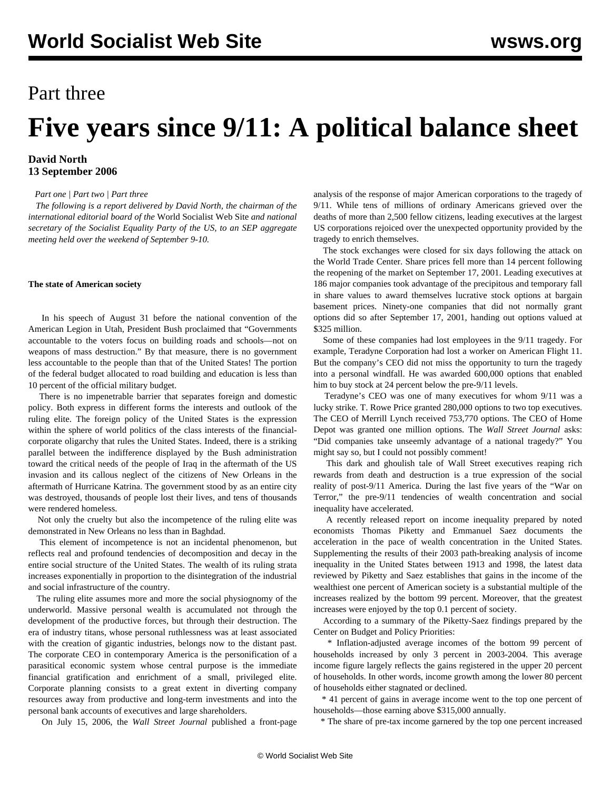## Part three

# **Five years since 9/11: A political balance sheet**

### **David North 13 September 2006**

*[Part one](/en/articles/2006/09/9111-s11.html) | [Part two](/en/articles/2006/09/9112-s12.html) | [Part three](/en/articles/2006/09/9113-s13.html)*

 *The following is a report delivered by David North, the chairman of the international editorial board of the* World Socialist Web Site *and national secretary of the Socialist Equality Party of the US, to an SEP aggregate meeting held over the weekend of September 9-10.*

#### **The state of American society**

 In his speech of August 31 before the national convention of the American Legion in Utah, President Bush proclaimed that "Governments accountable to the voters focus on building roads and schools—not on weapons of mass destruction." By that measure, there is no government less accountable to the people than that of the United States! The portion of the federal budget allocated to road building and education is less than 10 percent of the official military budget.

 There is no impenetrable barrier that separates foreign and domestic policy. Both express in different forms the interests and outlook of the ruling elite. The foreign policy of the United States is the expression within the sphere of world politics of the class interests of the financialcorporate oligarchy that rules the United States. Indeed, there is a striking parallel between the indifference displayed by the Bush administration toward the critical needs of the people of Iraq in the aftermath of the US invasion and its callous neglect of the citizens of New Orleans in the aftermath of Hurricane Katrina. The government stood by as an entire city was destroyed, thousands of people lost their lives, and tens of thousands were rendered homeless.

 Not only the cruelty but also the incompetence of the ruling elite was demonstrated in New Orleans no less than in Baghdad.

 This element of incompetence is not an incidental phenomenon, but reflects real and profound tendencies of decomposition and decay in the entire social structure of the United States. The wealth of its ruling strata increases exponentially in proportion to the disintegration of the industrial and social infrastructure of the country.

 The ruling elite assumes more and more the social physiognomy of the underworld. Massive personal wealth is accumulated not through the development of the productive forces, but through their destruction. The era of industry titans, whose personal ruthlessness was at least associated with the creation of gigantic industries, belongs now to the distant past. The corporate CEO in contemporary America is the personification of a parasitical economic system whose central purpose is the immediate financial gratification and enrichment of a small, privileged elite. Corporate planning consists to a great extent in diverting company resources away from productive and long-term investments and into the personal bank accounts of executives and large shareholders.

On July 15, 2006, the *Wall Street Journal* published a front-page

analysis of the response of major American corporations to the tragedy of 9/11. While tens of millions of ordinary Americans grieved over the deaths of more than 2,500 fellow citizens, leading executives at the largest US corporations rejoiced over the unexpected opportunity provided by the tragedy to enrich themselves.

 The stock exchanges were closed for six days following the attack on the World Trade Center. Share prices fell more than 14 percent following the reopening of the market on September 17, 2001. Leading executives at 186 major companies took advantage of the precipitous and temporary fall in share values to award themselves lucrative stock options at bargain basement prices. Ninety-one companies that did not normally grant options did so after September 17, 2001, handing out options valued at \$325 million.

 Some of these companies had lost employees in the 9/11 tragedy. For example, Teradyne Corporation had lost a worker on American Flight 11. But the company's CEO did not miss the opportunity to turn the tragedy into a personal windfall. He was awarded 600,000 options that enabled him to buy stock at 24 percent below the pre-9/11 levels.

 Teradyne's CEO was one of many executives for whom 9/11 was a lucky strike. T. Rowe Price granted 280,000 options to two top executives. The CEO of Merrill Lynch received 753,770 options. The CEO of Home Depot was granted one million options. The *Wall Street Journal* asks: "Did companies take unseemly advantage of a national tragedy?" You might say so, but I could not possibly comment!

 This dark and ghoulish tale of Wall Street executives reaping rich rewards from death and destruction is a true expression of the social reality of post-9/11 America. During the last five years of the "War on Terror," the pre-9/11 tendencies of wealth concentration and social inequality have accelerated.

 A recently released report on income inequality prepared by noted economists Thomas Piketty and Emmanuel Saez documents the acceleration in the pace of wealth concentration in the United States. Supplementing the results of their 2003 path-breaking analysis of income inequality in the United States between 1913 and 1998, the latest data reviewed by Piketty and Saez establishes that gains in the income of the wealthiest one percent of American society is a substantial multiple of the increases realized by the bottom 99 percent. Moreover, that the greatest increases were enjoyed by the top 0.1 percent of society.

 According to a summary of the Piketty-Saez findings prepared by the Center on Budget and Policy Priorities:

 \* Inflation-adjusted average incomes of the bottom 99 percent of households increased by only 3 percent in 2003-2004. This average income figure largely reflects the gains registered in the upper 20 percent of households. In other words, income growth among the lower 80 percent of households either stagnated or declined.

 \* 41 percent of gains in average income went to the top one percent of households—those earning above \$315,000 annually.

\* The share of pre-tax income garnered by the top one percent increased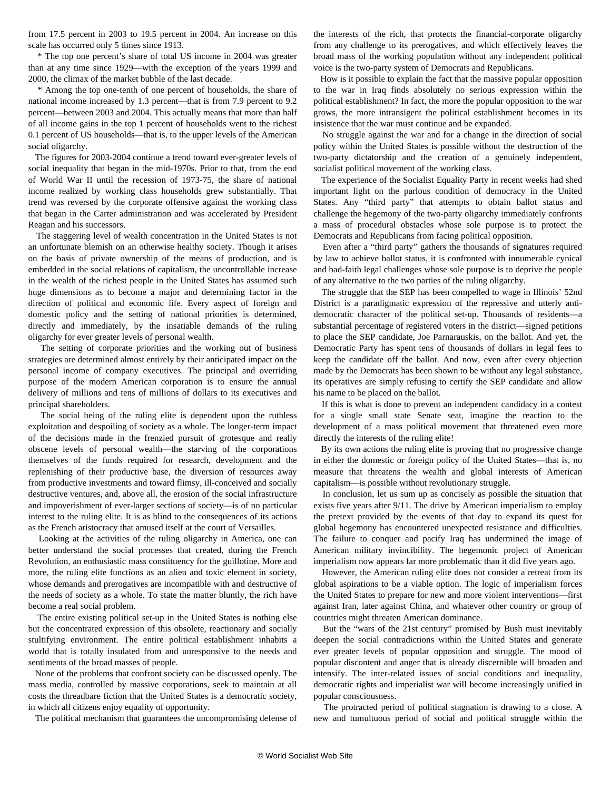from 17.5 percent in 2003 to 19.5 percent in 2004. An increase on this scale has occurred only 5 times since 1913.

 \* The top one percent's share of total US income in 2004 was greater than at any time since 1929—with the exception of the years 1999 and 2000, the climax of the market bubble of the last decade.

 \* Among the top one-tenth of one percent of households, the share of national income increased by 1.3 percent—that is from 7.9 percent to 9.2 percent—between 2003 and 2004. This actually means that more than half of all income gains in the top 1 percent of households went to the richest 0.1 percent of US households—that is, to the upper levels of the American social oligarchy.

 The figures for 2003-2004 continue a trend toward ever-greater levels of social inequality that began in the mid-1970s. Prior to that, from the end of World War II until the recession of 1973-75, the share of national income realized by working class households grew substantially. That trend was reversed by the corporate offensive against the working class that began in the Carter administration and was accelerated by President Reagan and his successors.

 The staggering level of wealth concentration in the United States is not an unfortunate blemish on an otherwise healthy society. Though it arises on the basis of private ownership of the means of production, and is embedded in the social relations of capitalism, the uncontrollable increase in the wealth of the richest people in the United States has assumed such huge dimensions as to become a major and determining factor in the direction of political and economic life. Every aspect of foreign and domestic policy and the setting of national priorities is determined, directly and immediately, by the insatiable demands of the ruling oligarchy for ever greater levels of personal wealth.

 The setting of corporate priorities and the working out of business strategies are determined almost entirely by their anticipated impact on the personal income of company executives. The principal and overriding purpose of the modern American corporation is to ensure the annual delivery of millions and tens of millions of dollars to its executives and principal shareholders.

 The social being of the ruling elite is dependent upon the ruthless exploitation and despoiling of society as a whole. The longer-term impact of the decisions made in the frenzied pursuit of grotesque and really obscene levels of personal wealth—the starving of the corporations themselves of the funds required for research, development and the replenishing of their productive base, the diversion of resources away from productive investments and toward flimsy, ill-conceived and socially destructive ventures, and, above all, the erosion of the social infrastructure and impoverishment of ever-larger sections of society—is of no particular interest to the ruling elite. It is as blind to the consequences of its actions as the French aristocracy that amused itself at the court of Versailles.

 Looking at the activities of the ruling oligarchy in America, one can better understand the social processes that created, during the French Revolution, an enthusiastic mass constituency for the guillotine. More and more, the ruling elite functions as an alien and toxic element in society, whose demands and prerogatives are incompatible with and destructive of the needs of society as a whole. To state the matter bluntly, the rich have become a real social problem.

 The entire existing political set-up in the United States is nothing else but the concentrated expression of this obsolete, reactionary and socially stultifying environment. The entire political establishment inhabits a world that is totally insulated from and unresponsive to the needs and sentiments of the broad masses of people.

 None of the problems that confront society can be discussed openly. The mass media, controlled by massive corporations, seek to maintain at all costs the threadbare fiction that the United States is a democratic society, in which all citizens enjoy equality of opportunity.

The political mechanism that guarantees the uncompromising defense of

the interests of the rich, that protects the financial-corporate oligarchy from any challenge to its prerogatives, and which effectively leaves the broad mass of the working population without any independent political voice is the two-party system of Democrats and Republicans.

 How is it possible to explain the fact that the massive popular opposition to the war in Iraq finds absolutely no serious expression within the political establishment? In fact, the more the popular opposition to the war grows, the more intransigent the political establishment becomes in its insistence that the war must continue and be expanded.

 No struggle against the war and for a change in the direction of social policy within the United States is possible without the destruction of the two-party dictatorship and the creation of a genuinely independent, socialist political movement of the working class.

 The experience of the Socialist Equality Party in recent weeks had shed important light on the parlous condition of democracy in the United States. Any "third party" that attempts to obtain ballot status and challenge the hegemony of the two-party oligarchy immediately confronts a mass of procedural obstacles whose sole purpose is to protect the Democrats and Republicans from facing political opposition.

 Even after a "third party" gathers the thousands of signatures required by law to achieve ballot status, it is confronted with innumerable cynical and bad-faith legal challenges whose sole purpose is to deprive the people of any alternative to the two parties of the ruling oligarchy.

 The struggle that the SEP has been compelled to wage in Illinois' 52nd District is a paradigmatic expression of the repressive and utterly antidemocratic character of the political set-up. Thousands of residents—a substantial percentage of registered voters in the district—signed petitions to place the SEP candidate, Joe Parnarauskis, on the ballot. And yet, the Democratic Party has spent tens of thousands of dollars in legal fees to keep the candidate off the ballot. And now, even after every objection made by the Democrats has been shown to be without any legal substance, its operatives are simply refusing to certify the SEP candidate and allow his name to be placed on the ballot.

 If this is what is done to prevent an independent candidacy in a contest for a single small state Senate seat, imagine the reaction to the development of a mass political movement that threatened even more directly the interests of the ruling elite!

 By its own actions the ruling elite is proving that no progressive change in either the domestic or foreign policy of the United States—that is, no measure that threatens the wealth and global interests of American capitalism—is possible without revolutionary struggle.

 In conclusion, let us sum up as concisely as possible the situation that exists five years after 9/11. The drive by American imperialism to employ the pretext provided by the events of that day to expand its quest for global hegemony has encountered unexpected resistance and difficulties. The failure to conquer and pacify Iraq has undermined the image of American military invincibility. The hegemonic project of American imperialism now appears far more problematic than it did five years ago.

 However, the American ruling elite does not consider a retreat from its global aspirations to be a viable option. The logic of imperialism forces the United States to prepare for new and more violent interventions—first against Iran, later against China, and whatever other country or group of countries might threaten American dominance.

 But the "wars of the 21st century" promised by Bush must inevitably deepen the social contradictions within the United States and generate ever greater levels of popular opposition and struggle. The mood of popular discontent and anger that is already discernible will broaden and intensify. The inter-related issues of social conditions and inequality, democratic rights and imperialist war will become increasingly unified in popular consciousness.

 The protracted period of political stagnation is drawing to a close. A new and tumultuous period of social and political struggle within the